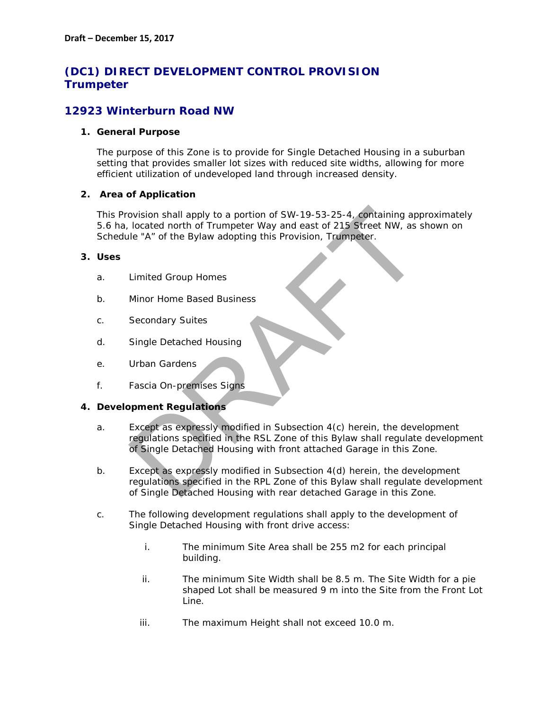# **(DC1) DIRECT DEVELOPMENT CONTROL PROVISION Trumpeter**

# *12923 Winterburn Road NW*

#### **1. General Purpose**

The purpose of this Zone is to provide for Single Detached Housing in a suburban setting that provides smaller lot sizes with reduced site widths, allowing for more efficient utilization of undeveloped land through increased density.

## **2. Area of Application**

This Provision shall apply to a portion of SW-19-53-25-4, containing approximately 5.6 ha, located north of Trumpeter Way and east of 215 Street NW, as shown on Schedule "A" of the Bylaw adopting this Provision, Trumpeter. ovision shall apply to a portion of SW-19-53-25-4, containing applocated north of Trumpeter Way and east of 215 Street NW, as see "A" of the Bylaw adopting this Provision, Trumpeter.<br>
Limited Group Homes<br>
Minor Home Based

#### **3. Uses**

- a. Limited Group Homes
- b. Minor Home Based Business
- c. Secondary Suites
- d. Single Detached Housing
- e. Urban Gardens
- f. Fascia On-premises Signs

## **4. Development Regulations**

- a. Except as expressly modified in Subsection 4(c) herein, the development regulations specified in the RSL Zone of this Bylaw shall regulate development of Single Detached Housing with front attached Garage in this Zone.
- b. Except as expressly modified in Subsection 4(d) herein, the development regulations specified in the RPL Zone of this Bylaw shall regulate development of Single Detached Housing with rear detached Garage in this Zone.
- c. The following development regulations shall apply to the development of Single Detached Housing with front drive access:
	- i. The minimum Site Area shall be 255 m2 for each principal building.
	- ii. The minimum Site Width shall be 8.5 m. The Site Width for a pie shaped Lot shall be measured 9 m into the Site from the Front Lot Line.
	- iii. The maximum Height shall not exceed 10.0 m.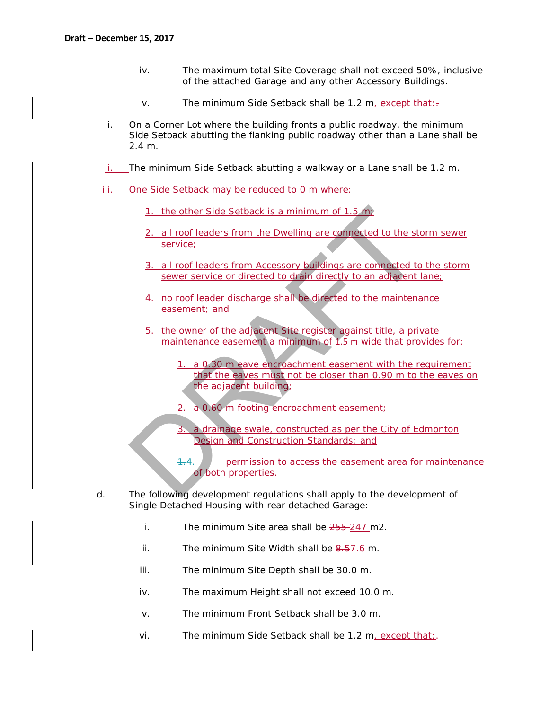- iv. The maximum total Site Coverage shall not exceed 50%, inclusive of the attached Garage and any other Accessory Buildings.
- v. The minimum Side Setback shall be 1.2 m, except that:-
- i. On a Corner Lot where the building fronts a public roadway, the minimum Side Setback abutting the flanking public roadway other than a Lane shall be 2.4 m.

ii. The minimum Side Setback abutting a walkway or a Lane shall be 1.2 m.

iii. One Side Setback may be reduced to 0 m where:

- 1. the other Side Setback is a minimum of 1.5 m;
- 2. all roof leaders from the Dwelling are connected to the storm sewer service;
- 3. all roof leaders from Accessory buildings are connected to the storm sewer service or directed to drain directly to an adjacent lane;
- 4. no roof leader discharge shall be directed to the maintenance easement; and
- 5. the owner of the adjacent Site register against title, a private maintenance easement a minimum of 1.5 m wide that provides for:
- 1. a 0.30 m eave encroachment easement with the requirement that the eaves must not be closer than 0.90 m to the eaves on the adjacent building; 1. the other Side Setback is a minimum of 1.5 m<br>
2. all roof leaders from the Dwelling are connected to the stervice:<br>
3. all roof leaders from Accessory buildings are connected to<br>
service:<br>
3. all roof leader since or d
	- 2. a 0.60 m footing encroachment easement;
	- 3. a drainage swale, constructed as per the City of Edmonton Design and Construction Standards; and
	- $1.4.$  permission to access the easement area for maintenance of both properties.
- d. The following development regulations shall apply to the development of Single Detached Housing with rear detached Garage:
	- i. The minimum Site area shall be  $255-247$  m2.
	- ii. The minimum Site Width shall be  $8.57.6$  m.
	- iii. The minimum Site Depth shall be 30.0 m.
	- iv. The maximum Height shall not exceed 10.0 m.
	- v. The minimum Front Setback shall be 3.0 m.
	- vi. The minimum Side Setback shall be  $1.2$  m, except that: $\pm$